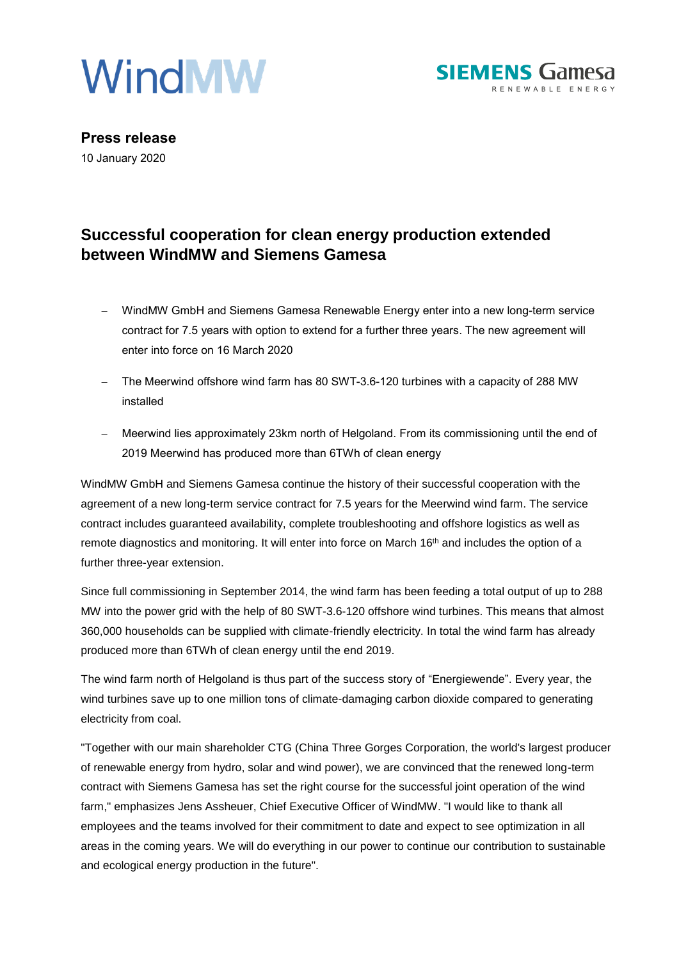



**Press release** 10 January 2020

# **Successful cooperation for clean energy production extended between WindMW and Siemens Gamesa**

- − WindMW GmbH and Siemens Gamesa Renewable Energy enter into a new long-term service contract for 7.5 years with option to extend for a further three years. The new agreement will enter into force on 16 March 2020
- − The Meerwind offshore wind farm has 80 SWT-3.6-120 turbines with a capacity of 288 MW installed
- − Meerwind lies approximately 23km north of Helgoland. From its commissioning until the end of 2019 Meerwind has produced more than 6TWh of clean energy

WindMW GmbH and Siemens Gamesa continue the history of their successful cooperation with the agreement of a new long-term service contract for 7.5 years for the Meerwind wind farm. The service contract includes guaranteed availability, complete troubleshooting and offshore logistics as well as remote diagnostics and monitoring. It will enter into force on March 16<sup>th</sup> and includes the option of a further three-year extension.

Since full commissioning in September 2014, the wind farm has been feeding a total output of up to 288 MW into the power grid with the help of 80 SWT-3.6-120 offshore wind turbines. This means that almost 360,000 households can be supplied with climate-friendly electricity. In total the wind farm has already produced more than 6TWh of clean energy until the end 2019.

The wind farm north of Helgoland is thus part of the success story of "Energiewende". Every year, the wind turbines save up to one million tons of climate-damaging carbon dioxide compared to generating electricity from coal.

"Together with our main shareholder CTG (China Three Gorges Corporation, the world's largest producer of renewable energy from hydro, solar and wind power), we are convinced that the renewed long-term contract with Siemens Gamesa has set the right course for the successful joint operation of the wind farm," emphasizes Jens Assheuer, Chief Executive Officer of WindMW. "I would like to thank all employees and the teams involved for their commitment to date and expect to see optimization in all areas in the coming years. We will do everything in our power to continue our contribution to sustainable and ecological energy production in the future".